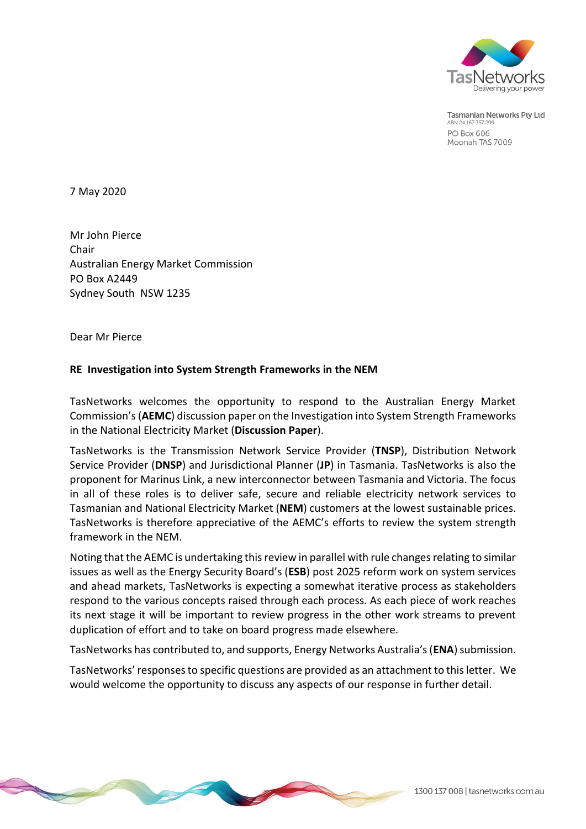

**Tasmanian Networks Pty Ltd** ABN 24 167 357 299 PO Box 606 Moonah TAS 7009

7 May 2020

Mr John Pierce Chair Australian Energy Market Commission PO Box A2449 Sydney South NSW 1235

Dear Mr Pierce

#### **RE Investigation into System Strength Frameworks in the NEM**

TasNetworks welcomes the opportunity to respond to the Australian Energy Market Commission's (**AEMC**) discussion paper on the Investigation into System Strength Frameworks in the National Electricity Market (**Discussion Paper**).

TasNetworks is the Transmission Network Service Provider (**TNSP**), Distribution Network Service Provider (**DNSP**) and Jurisdictional Planner (**JP**) in Tasmania. TasNetworks is also the proponent for Marinus Link, a new interconnector between Tasmania and Victoria. The focus in all of these roles is to deliver safe, secure and reliable electricity network services to Tasmanian and National Electricity Market (**NEM**) customers at the lowest sustainable prices. TasNetworks is therefore appreciative of the AEMC's efforts to review the system strength framework in the NEM.

Noting that the AEMC is undertaking this review in parallel with rule changes relating to similar issues as well as the Energy Security Board's (**ESB**) post 2025 reform work on system services and ahead markets, TasNetworks is expecting a somewhat iterative process as stakeholders respond to the various concepts raised through each process. As each piece of work reaches its next stage it will be important to review progress in the other work streams to prevent duplication of effort and to take on board progress made elsewhere.

TasNetworks has contributed to, and supports, Energy Networks Australia's (**ENA**) submission.

TasNetworks' responses to specific questions are provided as an attachment to this letter. We would welcome the opportunity to discuss any aspects of our response in further detail.

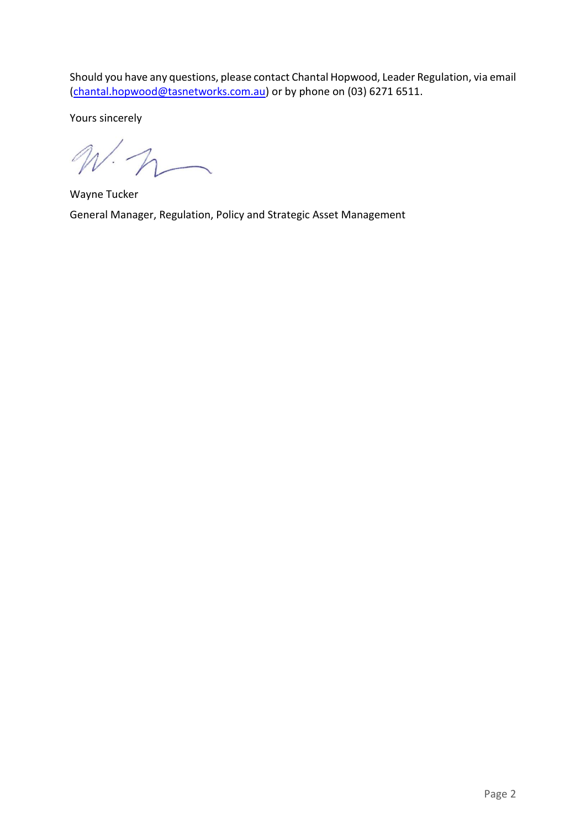Should you have any questions, please contact Chantal Hopwood, Leader Regulation, via email [\(chantal.hopwood@tasnetworks.com.au\)](mailto:chantal.hopwood@tasnetworks.com.au) or by phone on (03) 6271 6511.

Yours sincerely

 $N\cdot n$ 

Wayne Tucker General Manager, Regulation, Policy and Strategic Asset Management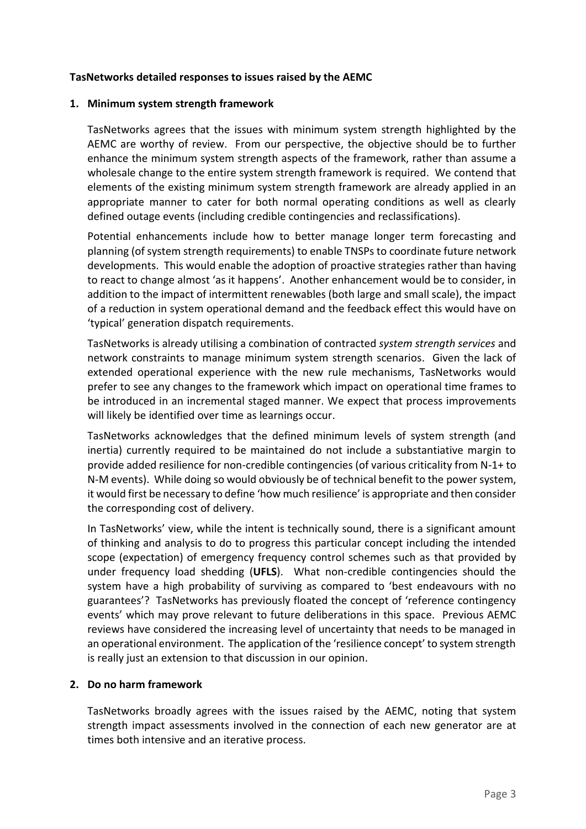#### **TasNetworks detailed responses to issues raised by the AEMC**

#### **1. Minimum system strength framework**

TasNetworks agrees that the issues with minimum system strength highlighted by the AEMC are worthy of review. From our perspective, the objective should be to further enhance the minimum system strength aspects of the framework, rather than assume a wholesale change to the entire system strength framework is required. We contend that elements of the existing minimum system strength framework are already applied in an appropriate manner to cater for both normal operating conditions as well as clearly defined outage events (including credible contingencies and reclassifications).

Potential enhancements include how to better manage longer term forecasting and planning (of system strength requirements) to enable TNSPs to coordinate future network developments. This would enable the adoption of proactive strategies rather than having to react to change almost 'as it happens'. Another enhancement would be to consider, in addition to the impact of intermittent renewables (both large and small scale), the impact of a reduction in system operational demand and the feedback effect this would have on 'typical' generation dispatch requirements.

TasNetworks is already utilising a combination of contracted *system strength services* and network constraints to manage minimum system strength scenarios. Given the lack of extended operational experience with the new rule mechanisms, TasNetworks would prefer to see any changes to the framework which impact on operational time frames to be introduced in an incremental staged manner. We expect that process improvements will likely be identified over time as learnings occur.

TasNetworks acknowledges that the defined minimum levels of system strength (and inertia) currently required to be maintained do not include a substantiative margin to provide added resilience for non-credible contingencies (of various criticality from N-1+ to N-M events). While doing so would obviously be of technical benefit to the power system, it would first be necessary to define 'how much resilience' is appropriate and then consider the corresponding cost of delivery.

In TasNetworks' view, while the intent is technically sound, there is a significant amount of thinking and analysis to do to progress this particular concept including the intended scope (expectation) of emergency frequency control schemes such as that provided by under frequency load shedding (**UFLS**). What non-credible contingencies should the system have a high probability of surviving as compared to 'best endeavours with no guarantees'? TasNetworks has previously floated the concept of 'reference contingency events' which may prove relevant to future deliberations in this space. Previous AEMC reviews have considered the increasing level of uncertainty that needs to be managed in an operational environment. The application of the 'resilience concept' to system strength is really just an extension to that discussion in our opinion.

#### **2. Do no harm framework**

TasNetworks broadly agrees with the issues raised by the AEMC, noting that system strength impact assessments involved in the connection of each new generator are at times both intensive and an iterative process.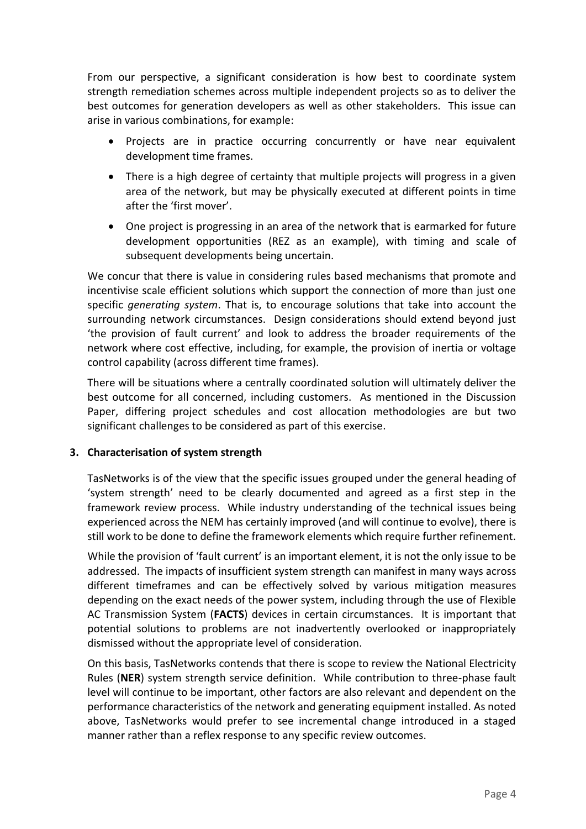From our perspective, a significant consideration is how best to coordinate system strength remediation schemes across multiple independent projects so as to deliver the best outcomes for generation developers as well as other stakeholders. This issue can arise in various combinations, for example:

- Projects are in practice occurring concurrently or have near equivalent development time frames.
- There is a high degree of certainty that multiple projects will progress in a given area of the network, but may be physically executed at different points in time after the 'first mover'.
- One project is progressing in an area of the network that is earmarked for future development opportunities (REZ as an example), with timing and scale of subsequent developments being uncertain.

We concur that there is value in considering rules based mechanisms that promote and incentivise scale efficient solutions which support the connection of more than just one specific *generating system*. That is, to encourage solutions that take into account the surrounding network circumstances. Design considerations should extend beyond just 'the provision of fault current' and look to address the broader requirements of the network where cost effective, including, for example, the provision of inertia or voltage control capability (across different time frames).

There will be situations where a centrally coordinated solution will ultimately deliver the best outcome for all concerned, including customers. As mentioned in the Discussion Paper, differing project schedules and cost allocation methodologies are but two significant challenges to be considered as part of this exercise.

# **3. Characterisation of system strength**

TasNetworks is of the view that the specific issues grouped under the general heading of 'system strength' need to be clearly documented and agreed as a first step in the framework review process. While industry understanding of the technical issues being experienced across the NEM has certainly improved (and will continue to evolve), there is still work to be done to define the framework elements which require further refinement.

While the provision of 'fault current' is an important element, it is not the only issue to be addressed. The impacts of insufficient system strength can manifest in many ways across different timeframes and can be effectively solved by various mitigation measures depending on the exact needs of the power system, including through the use of Flexible AC Transmission System (**FACTS**) devices in certain circumstances. It is important that potential solutions to problems are not inadvertently overlooked or inappropriately dismissed without the appropriate level of consideration.

On this basis, TasNetworks contends that there is scope to review the National Electricity Rules (**NER**) system strength service definition. While contribution to three-phase fault level will continue to be important, other factors are also relevant and dependent on the performance characteristics of the network and generating equipment installed. As noted above, TasNetworks would prefer to see incremental change introduced in a staged manner rather than a reflex response to any specific review outcomes.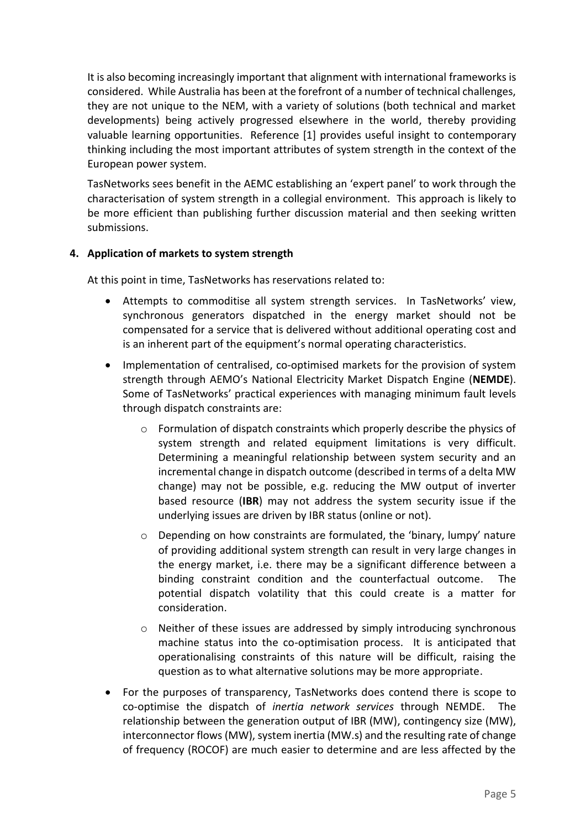It is also becoming increasingly important that alignment with international frameworks is considered. While Australia has been at the forefront of a number of technical challenges, they are not unique to the NEM, with a variety of solutions (both technical and market developments) being actively progressed elsewhere in the world, thereby providing valuable learning opportunities. Reference [1] provides useful insight to contemporary thinking including the most important attributes of system strength in the context of the European power system.

TasNetworks sees benefit in the AEMC establishing an 'expert panel' to work through the characterisation of system strength in a collegial environment. This approach is likely to be more efficient than publishing further discussion material and then seeking written submissions.

# **4. Application of markets to system strength**

At this point in time, TasNetworks has reservations related to:

- Attempts to commoditise all system strength services. In TasNetworks' view, synchronous generators dispatched in the energy market should not be compensated for a service that is delivered without additional operating cost and is an inherent part of the equipment's normal operating characteristics.
- Implementation of centralised, co-optimised markets for the provision of system strength through AEMO's National Electricity Market Dispatch Engine (**NEMDE**). Some of TasNetworks' practical experiences with managing minimum fault levels through dispatch constraints are:
	- o Formulation of dispatch constraints which properly describe the physics of system strength and related equipment limitations is very difficult. Determining a meaningful relationship between system security and an incremental change in dispatch outcome (described in terms of a delta MW change) may not be possible, e.g. reducing the MW output of inverter based resource (**IBR**) may not address the system security issue if the underlying issues are driven by IBR status (online or not).
	- $\circ$  Depending on how constraints are formulated, the 'binary, lumpy' nature of providing additional system strength can result in very large changes in the energy market, i.e. there may be a significant difference between a binding constraint condition and the counterfactual outcome. The potential dispatch volatility that this could create is a matter for consideration.
	- $\circ$  Neither of these issues are addressed by simply introducing synchronous machine status into the co-optimisation process. It is anticipated that operationalising constraints of this nature will be difficult, raising the question as to what alternative solutions may be more appropriate.
- For the purposes of transparency, TasNetworks does contend there is scope to co-optimise the dispatch of *inertia network services* through NEMDE. The relationship between the generation output of IBR (MW), contingency size (MW), interconnector flows (MW), system inertia (MW.s) and the resulting rate of change of frequency (ROCOF) are much easier to determine and are less affected by the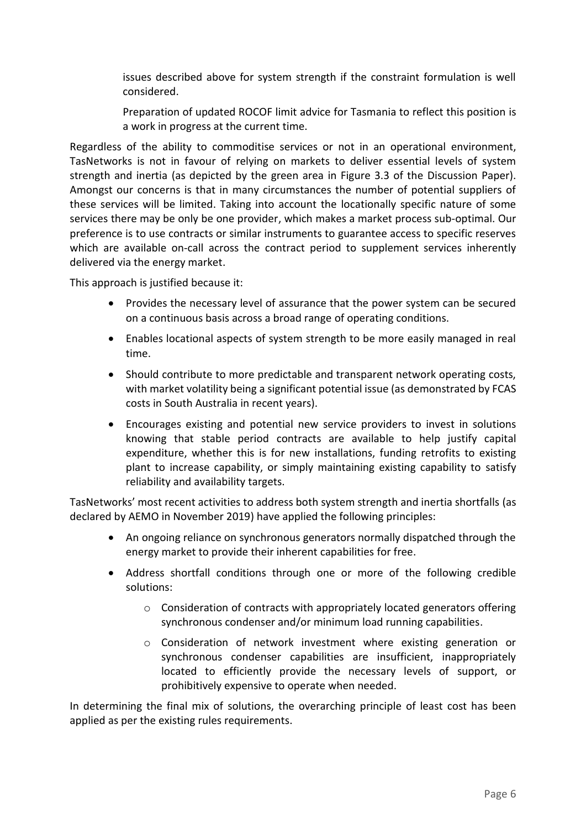issues described above for system strength if the constraint formulation is well considered.

Preparation of updated ROCOF limit advice for Tasmania to reflect this position is a work in progress at the current time.

Regardless of the ability to commoditise services or not in an operational environment, TasNetworks is not in favour of relying on markets to deliver essential levels of system strength and inertia (as depicted by the green area in Figure 3.3 of the Discussion Paper). Amongst our concerns is that in many circumstances the number of potential suppliers of these services will be limited. Taking into account the locationally specific nature of some services there may be only be one provider, which makes a market process sub-optimal. Our preference is to use contracts or similar instruments to guarantee access to specific reserves which are available on-call across the contract period to supplement services inherently delivered via the energy market.

This approach is justified because it:

- Provides the necessary level of assurance that the power system can be secured on a continuous basis across a broad range of operating conditions.
- Enables locational aspects of system strength to be more easily managed in real time.
- Should contribute to more predictable and transparent network operating costs, with market volatility being a significant potential issue (as demonstrated by FCAS costs in South Australia in recent years).
- Encourages existing and potential new service providers to invest in solutions knowing that stable period contracts are available to help justify capital expenditure, whether this is for new installations, funding retrofits to existing plant to increase capability, or simply maintaining existing capability to satisfy reliability and availability targets.

TasNetworks' most recent activities to address both system strength and inertia shortfalls (as declared by AEMO in November 2019) have applied the following principles:

- An ongoing reliance on synchronous generators normally dispatched through the energy market to provide their inherent capabilities for free.
- Address shortfall conditions through one or more of the following credible solutions:
	- o Consideration of contracts with appropriately located generators offering synchronous condenser and/or minimum load running capabilities.
	- o Consideration of network investment where existing generation or synchronous condenser capabilities are insufficient, inappropriately located to efficiently provide the necessary levels of support, or prohibitively expensive to operate when needed.

In determining the final mix of solutions, the overarching principle of least cost has been applied as per the existing rules requirements.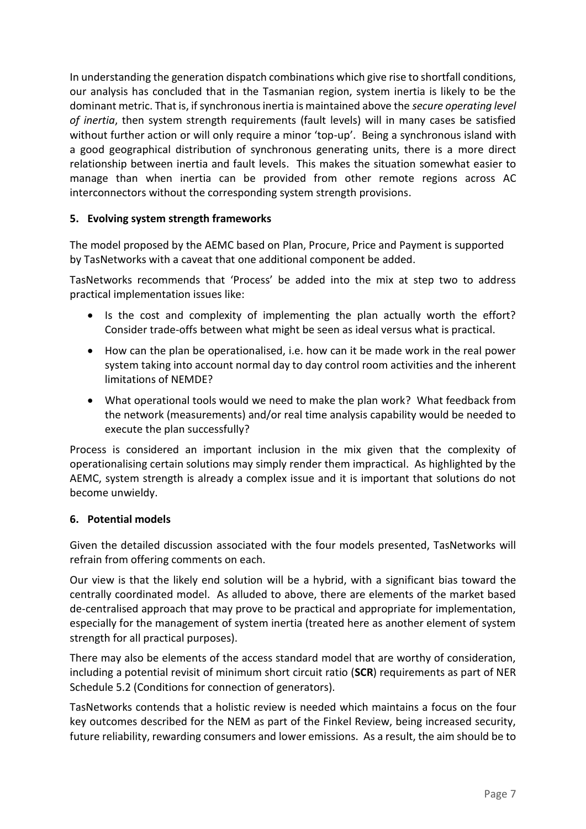In understanding the generation dispatch combinations which give rise to shortfall conditions, our analysis has concluded that in the Tasmanian region, system inertia is likely to be the dominant metric. That is, if synchronous inertia is maintained above the *secure operating level of inertia*, then system strength requirements (fault levels) will in many cases be satisfied without further action or will only require a minor 'top-up'. Being a synchronous island with a good geographical distribution of synchronous generating units, there is a more direct relationship between inertia and fault levels. This makes the situation somewhat easier to manage than when inertia can be provided from other remote regions across AC interconnectors without the corresponding system strength provisions.

# **5. Evolving system strength frameworks**

The model proposed by the AEMC based on Plan, Procure, Price and Payment is supported by TasNetworks with a caveat that one additional component be added.

TasNetworks recommends that 'Process' be added into the mix at step two to address practical implementation issues like:

- Is the cost and complexity of implementing the plan actually worth the effort? Consider trade-offs between what might be seen as ideal versus what is practical.
- How can the plan be operationalised, i.e. how can it be made work in the real power system taking into account normal day to day control room activities and the inherent limitations of NEMDE?
- What operational tools would we need to make the plan work? What feedback from the network (measurements) and/or real time analysis capability would be needed to execute the plan successfully?

Process is considered an important inclusion in the mix given that the complexity of operationalising certain solutions may simply render them impractical. As highlighted by the AEMC, system strength is already a complex issue and it is important that solutions do not become unwieldy.

# **6. Potential models**

Given the detailed discussion associated with the four models presented, TasNetworks will refrain from offering comments on each.

Our view is that the likely end solution will be a hybrid, with a significant bias toward the centrally coordinated model. As alluded to above, there are elements of the market based de-centralised approach that may prove to be practical and appropriate for implementation, especially for the management of system inertia (treated here as another element of system strength for all practical purposes).

There may also be elements of the access standard model that are worthy of consideration, including a potential revisit of minimum short circuit ratio (**SCR**) requirements as part of NER Schedule 5.2 (Conditions for connection of generators).

TasNetworks contends that a holistic review is needed which maintains a focus on the four key outcomes described for the NEM as part of the Finkel Review, being increased security, future reliability, rewarding consumers and lower emissions. As a result, the aim should be to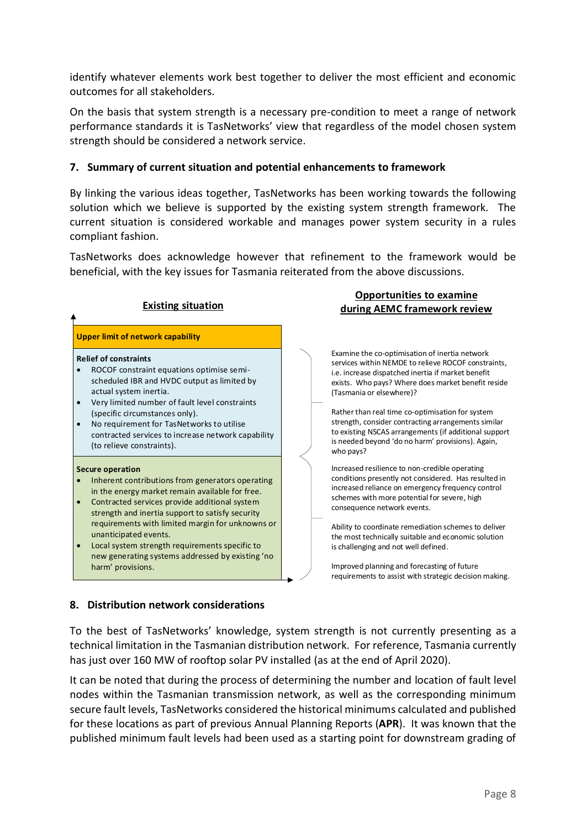identify whatever elements work best together to deliver the most efficient and economic outcomes for all stakeholders.

On the basis that system strength is a necessary pre-condition to meet a range of network performance standards it is TasNetworks' view that regardless of the model chosen system strength should be considered a network service.

### **7. Summary of current situation and potential enhancements to framework**

By linking the various ideas together, TasNetworks has been working towards the following solution which we believe is supported by the existing system strength framework. The current situation is considered workable and manages power system security in a rules compliant fashion.

TasNetworks does acknowledge however that refinement to the framework would be beneficial, with the key issues for Tasmania reiterated from the above discussions.

**Opportunities to examine** 

| <b>Existing situation</b>                |                                                                                                                                                                                                                                                                                                                                                                        | <u>opportannaes to examine</u><br>during AEMC framework review |                                                                                                                                                                                                                                                                                                                                                                                                                                                                                     |
|------------------------------------------|------------------------------------------------------------------------------------------------------------------------------------------------------------------------------------------------------------------------------------------------------------------------------------------------------------------------------------------------------------------------|----------------------------------------------------------------|-------------------------------------------------------------------------------------------------------------------------------------------------------------------------------------------------------------------------------------------------------------------------------------------------------------------------------------------------------------------------------------------------------------------------------------------------------------------------------------|
| <b>Upper limit of network capability</b> |                                                                                                                                                                                                                                                                                                                                                                        |                                                                |                                                                                                                                                                                                                                                                                                                                                                                                                                                                                     |
| $\bullet$                                | <b>Relief of constraints</b><br>ROCOF constraint equations optimise semi-<br>scheduled IBR and HVDC output as limited by<br>actual system inertia.<br>Very limited number of fault level constraints<br>(specific circumstances only).<br>No requirement for TasNetworks to utilise<br>contracted services to increase network capability<br>(to relieve constraints). |                                                                | Examine the co-optimisation of inertia network<br>services within NEMDE to relieve ROCOF constraints,<br>i.e. increase dispatched inertia if market benefit<br>exists. Who pays? Where does market benefit reside<br>(Tasmania or elsewhere)?<br>Rather than real time co-optimisation for system<br>strength, consider contracting arrangements similar<br>to existing NSCAS arrangements (if additional support<br>is needed beyond 'do no harm' provisions). Again,<br>who pays? |
| $\bullet$<br>$\bullet$                   | <b>Secure operation</b><br>Inherent contributions from generators operating<br>in the energy market remain available for free.<br>Contracted services provide additional system<br>strength and inertia support to satisfy security                                                                                                                                    |                                                                | Increased resilience to non-credible operating<br>conditions presently not considered. Has resulted in<br>increased reliance on emergency frequency control<br>schemes with more potential for severe, high<br>consequence network events.                                                                                                                                                                                                                                          |
| $\bullet$                                | requirements with limited margin for unknowns or<br>unanticipated events.<br>Local system strength requirements specific to<br>new generating systems addressed by existing 'no<br>harm' provisions.                                                                                                                                                                   |                                                                | Ability to coordinate remediation schemes to deliver<br>the most technically suitable and economic solution<br>is challenging and not well defined.<br>Improved planning and forecasting of future<br>requirements to assist with strategic decision making.                                                                                                                                                                                                                        |

#### **8. Distribution network considerations**

To the best of TasNetworks' knowledge, system strength is not currently presenting as a technical limitation in the Tasmanian distribution network. For reference, Tasmania currently has just over 160 MW of rooftop solar PV installed (as at the end of April 2020).

It can be noted that during the process of determining the number and location of fault level nodes within the Tasmanian transmission network, as well as the corresponding minimum secure fault levels, TasNetworks considered the historical minimums calculated and published for these locations as part of previous Annual Planning Reports (**APR**). It was known that the published minimum fault levels had been used as a starting point for downstream grading of